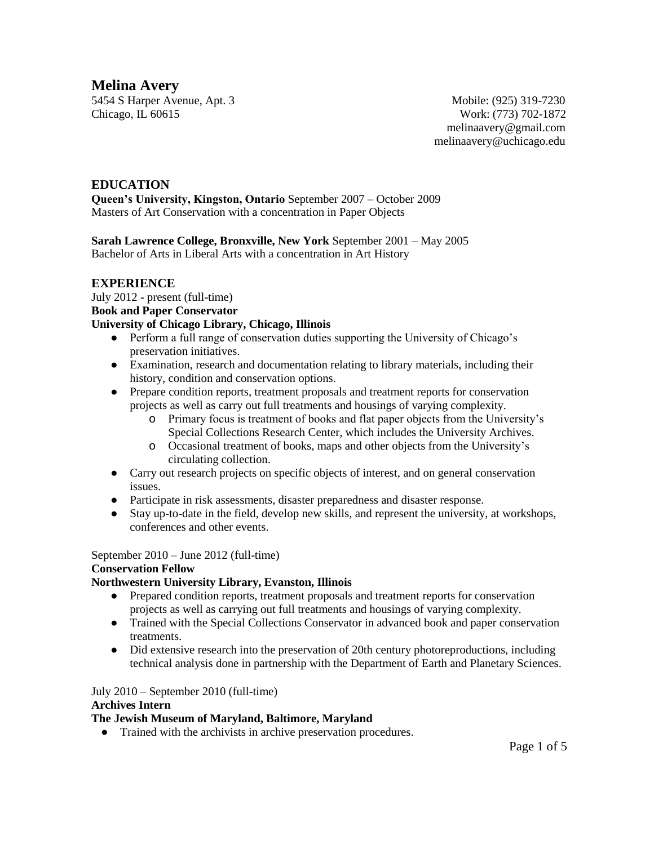**Melina Avery**

5454 S Harper Avenue, Apt. 3 Mobile: (925) 319-7230 Chicago, IL 60615 Work: (773) 702-1872

 [melinaavery@gmail.com](mailto:melinaavery@gmail.com) melinaavery@uchicago.edu

# **EDUCATION Queen's University, Kingston, Ontario** September 2007 – October 2009 Masters of Art Conservation with a concentration in Paper Objects

**Sarah Lawrence College, Bronxville, New York** September 2001 – May 2005 Bachelor of Arts in Liberal Arts with a concentration in Art History

# **EXPERIENCE**

July 2012 - present (full-time) **Book and Paper Conservator University of Chicago Library, Chicago, Illinois**

- Perform a full range of conservation duties supporting the University of Chicago's preservation initiatives.
- Examination, research and documentation relating to library materials, including their history, condition and conservation options.
- Prepare condition reports, treatment proposals and treatment reports for conservation projects as well as carry out full treatments and housings of varying complexity.
	- o Primary focus is treatment of books and flat paper objects from the University's Special Collections Research Center, which includes the University Archives.
	- o Occasional treatment of books, maps and other objects from the University's circulating collection.
- Carry out research projects on specific objects of interest, and on general conservation issues.
- Participate in risk assessments, disaster preparedness and disaster response.
- Stay up-to-date in the field, develop new skills, and represent the university, at workshops, conferences and other events.

September 2010 – June 2012 (full-time)

# **Conservation Fellow**

# **Northwestern University Library, Evanston, Illinois**

- Prepared condition reports, treatment proposals and treatment reports for conservation projects as well as carrying out full treatments and housings of varying complexity.
- Trained with the Special Collections Conservator in advanced book and paper conservation treatments.
- Did extensive research into the preservation of 20th century photoreproductions, including technical analysis done in partnership with the Department of Earth and Planetary Sciences.

# July 2010 – September 2010 (full-time)

# **Archives Intern**

# **The Jewish Museum of Maryland, Baltimore, Maryland**

● Trained with the archivists in archive preservation procedures.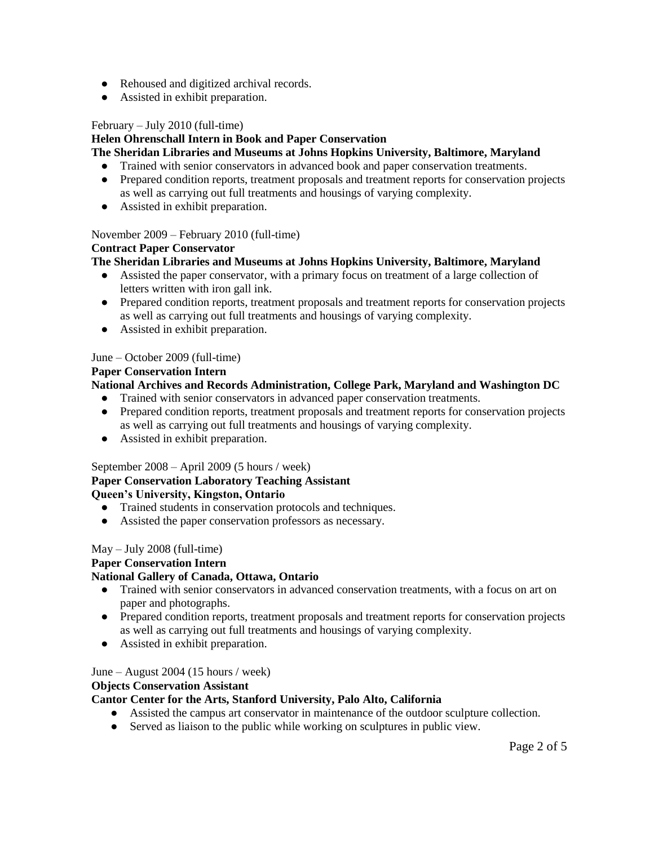- Rehoused and digitized archival records.
- Assisted in exhibit preparation.

### February – July 2010 (full-time)

### **Helen Ohrenschall Intern in Book and Paper Conservation**

### **The Sheridan Libraries and Museums at Johns Hopkins University, Baltimore, Maryland**

- Trained with senior conservators in advanced book and paper conservation treatments.
- Prepared condition reports, treatment proposals and treatment reports for conservation projects as well as carrying out full treatments and housings of varying complexity.
- Assisted in exhibit preparation.

### November 2009 – February 2010 (full-time)

### **Contract Paper Conservator**

# **The Sheridan Libraries and Museums at Johns Hopkins University, Baltimore, Maryland**

- Assisted the paper conservator, with a primary focus on treatment of a large collection of letters written with iron gall ink.
- Prepared condition reports, treatment proposals and treatment reports for conservation projects as well as carrying out full treatments and housings of varying complexity.
- Assisted in exhibit preparation.

### June – October 2009 (full-time)

#### **Paper Conservation Intern**

# **National Archives and Records Administration, College Park, Maryland and Washington DC**

- Trained with senior conservators in advanced paper conservation treatments.
- Prepared condition reports, treatment proposals and treatment reports for conservation projects as well as carrying out full treatments and housings of varying complexity.
- Assisted in exhibit preparation.

# September 2008 – April 2009 (5 hours / week)

# **Paper Conservation Laboratory Teaching Assistant Queen's University, Kingston, Ontario**

- Trained students in conservation protocols and techniques.
- Assisted the paper conservation professors as necessary.

#### May – July 2008 (full-time)

# **Paper Conservation Intern**

# **National Gallery of Canada, Ottawa, Ontario**

- Trained with senior conservators in advanced conservation treatments, with a focus on art on paper and photographs.
- Prepared condition reports, treatment proposals and treatment reports for conservation projects as well as carrying out full treatments and housings of varying complexity.
- Assisted in exhibit preparation.

#### June – August 2004 (15 hours / week)

### **Objects Conservation Assistant**

### **Cantor Center for the Arts, Stanford University, Palo Alto, California**

- Assisted the campus art conservator in maintenance of the outdoor sculpture collection.
- Served as liaison to the public while working on sculptures in public view.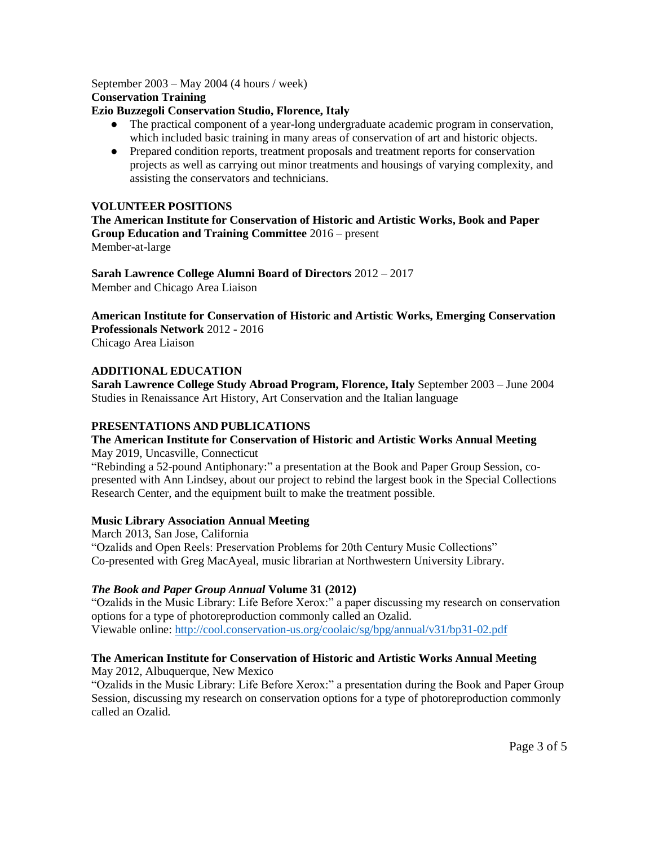September 2003 – May 2004 (4 hours / week) **Conservation Training**

#### **Ezio Buzzegoli Conservation Studio, Florence, Italy**

- The practical component of a year-long undergraduate academic program in conservation, which included basic training in many areas of conservation of art and historic objects.
- Prepared condition reports, treatment proposals and treatment reports for conservation projects as well as carrying out minor treatments and housings of varying complexity, and assisting the conservators and technicians.

### **VOLUNTEER POSITIONS**

**The American Institute for Conservation of Historic and Artistic Works, Book and Paper Group Education and Training Committee** 2016 – present Member-at-large

**Sarah Lawrence College Alumni Board of Directors** 2012 – 2017 Member and Chicago Area Liaison

**American Institute for Conservation of Historic and Artistic Works, Emerging Conservation Professionals Network** 2012 - 2016

Chicago Area Liaison

### **ADDITIONAL EDUCATION**

**Sarah Lawrence College Study Abroad Program, Florence, Italy** September 2003 – June 2004 Studies in Renaissance Art History, Art Conservation and the Italian language

#### **PRESENTATIONS AND PUBLICATIONS**

# **The American Institute for Conservation of Historic and Artistic Works Annual Meeting**

May 2019, Uncasville, Connecticut

"Rebinding a 52-pound Antiphonary:" a presentation at the Book and Paper Group Session, copresented with Ann Lindsey, about our project to rebind the largest book in the Special Collections Research Center, and the equipment built to make the treatment possible.

#### **Music Library Association Annual Meeting**

March 2013, San Jose, California "Ozalids and Open Reels: Preservation Problems for 20th Century Music Collections" Co-presented with Greg MacAyeal, music librarian at Northwestern University Library.

# *The Book and Paper Group Annual* **Volume 31 (2012)**

"Ozalids in the Music Library: Life Before Xerox:" a paper discussing my research on conservation options for a type of photoreproduction commonly called an Ozalid. Viewable online[: http://cool.conservation-us.org/coolaic/sg/bpg/annual/v31/bp31-02.pdf](http://cool.conservation-us.org/coolaic/sg/bpg/annual/v31/bp31-02.pdf)

# **The American Institute for Conservation of Historic and Artistic Works Annual Meeting**

May 2012, Albuquerque, New Mexico

"Ozalids in the Music Library: Life Before Xerox:" a presentation during the Book and Paper Group Session, discussing my research on conservation options for a type of photoreproduction commonly called an Ozalid.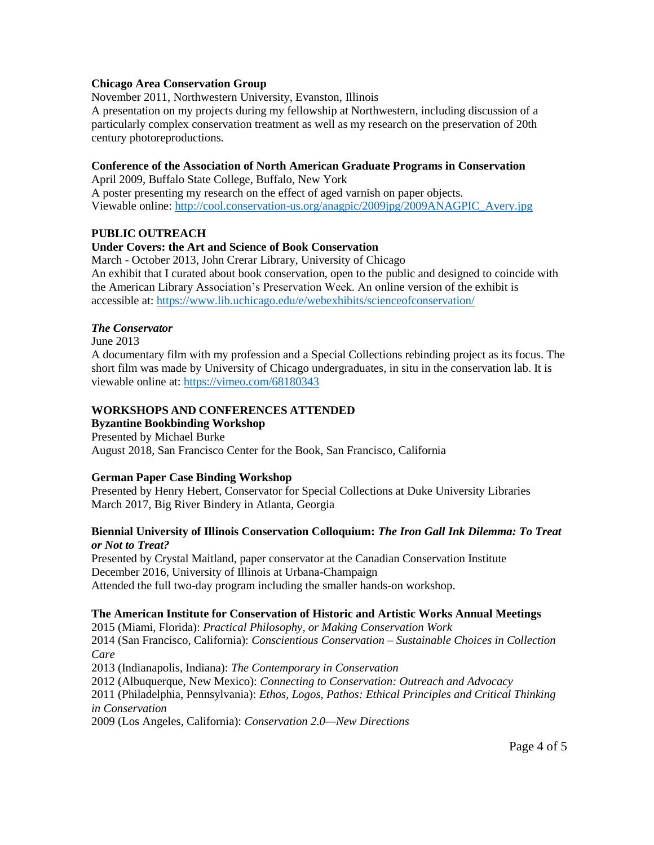### **Chicago Area Conservation Group**

November 2011, Northwestern University, Evanston, Illinois

A presentation on my projects during my fellowship at Northwestern, including discussion of a particularly complex conservation treatment as well as my research on the preservation of 20th century photoreproductions.

### **Conference of the Association of North American Graduate Programs in Conservation**

April 2009, Buffalo State College, Buffalo, New York A poster presenting my research on the effect of aged varnish on paper objects. Viewable online[: http://cool.conservation-us.org/anagpic/2009jpg/2009ANAGPIC\\_Avery.jpg](http://cool.conservation-us.org/anagpic/2009jpg/2009ANAGPIC_Avery.jpg)

### **PUBLIC OUTREACH**

# **Under Covers: the Art and Science of Book Conservation**

March - October 2013, John Crerar Library, University of Chicago An exhibit that I curated about book conservation, open to the public and designed to coincide with the American Library Association's Preservation Week. An online version of the exhibit is accessible at: <https://www.lib.uchicago.edu/e/webexhibits/scienceofconservation/>

### *The Conservator*

June 2013

A documentary film with my profession and a Special Collections rebinding project as its focus. The short film was made by University of Chicago undergraduates, in situ in the conservation lab. It is viewable online at:<https://vimeo.com/68180343>

### **WORKSHOPS AND CONFERENCES ATTENDED**

**Byzantine Bookbinding Workshop** Presented by Michael Burke August 2018, San Francisco Center for the Book, San Francisco, California

#### **German Paper Case Binding Workshop**

Presented by Henry Hebert, Conservator for Special Collections at Duke University Libraries March 2017, Big River Bindery in Atlanta, Georgia

#### **Biennial University of Illinois Conservation Colloquium:** *The Iron Gall Ink Dilemma: To Treat or Not to Treat?*

Presented by Crystal Maitland, paper conservator at the Canadian Conservation Institute December 2016, University of Illinois at Urbana-Champaign Attended the full two-day program including the smaller hands-on workshop.

# **The American Institute for Conservation of Historic and Artistic Works Annual Meetings**

2015 (Miami, Florida): *Practical Philosophy, or Making Conservation Work* 2014 (San Francisco, California): *Conscientious Conservation – Sustainable Choices in Collection Care* 2013 (Indianapolis, Indiana): *The Contemporary in Conservation* 2012 (Albuquerque, New Mexico): *Connecting to Conservation: Outreach and Advocacy* 

2011 (Philadelphia, Pennsylvania): *Ethos, Logos, Pathos: Ethical Principles and Critical Thinking in Conservation*

2009 (Los Angeles, California): *Conservation 2.0—New Directions*